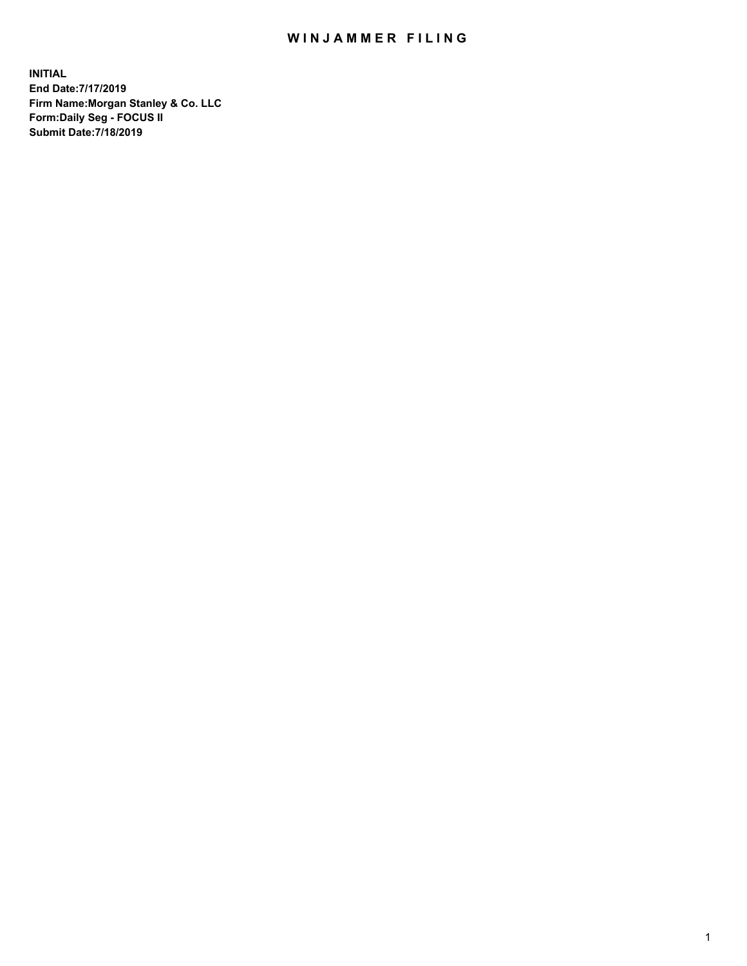## WIN JAMMER FILING

**INITIAL End Date:7/17/2019 Firm Name:Morgan Stanley & Co. LLC Form:Daily Seg - FOCUS II Submit Date:7/18/2019**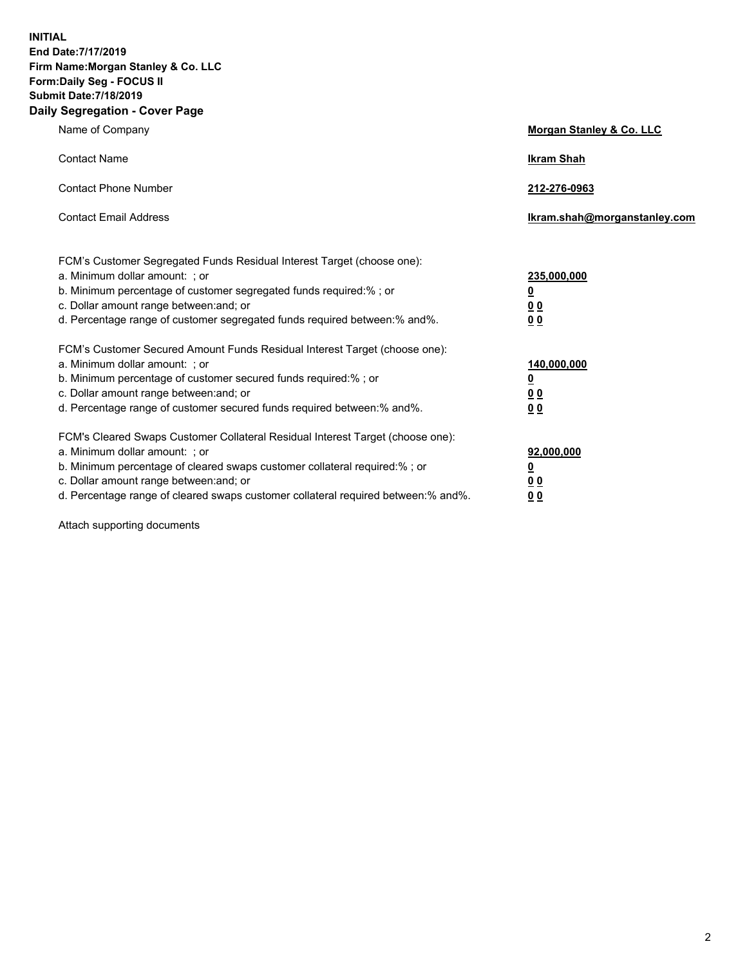**INITIAL End Date:7/17/2019 Firm Name:Morgan Stanley & Co. LLC Form:Daily Seg - FOCUS II Submit Date:7/18/2019 Daily Segregation - Cover Page**

| Name of Company                                                                                                                                                                                                                                                                                                                | Morgan Stanley & Co. LLC                                    |
|--------------------------------------------------------------------------------------------------------------------------------------------------------------------------------------------------------------------------------------------------------------------------------------------------------------------------------|-------------------------------------------------------------|
| <b>Contact Name</b>                                                                                                                                                                                                                                                                                                            | <b>Ikram Shah</b>                                           |
| <b>Contact Phone Number</b>                                                                                                                                                                                                                                                                                                    | 212-276-0963                                                |
| <b>Contact Email Address</b>                                                                                                                                                                                                                                                                                                   | Ikram.shah@morganstanley.com                                |
| FCM's Customer Segregated Funds Residual Interest Target (choose one):<br>a. Minimum dollar amount: ; or<br>b. Minimum percentage of customer segregated funds required:% ; or<br>c. Dollar amount range between: and; or<br>d. Percentage range of customer segregated funds required between:% and%.                         | 235,000,000<br><u>0</u><br>0 Q<br>0 Q                       |
| FCM's Customer Secured Amount Funds Residual Interest Target (choose one):<br>a. Minimum dollar amount: ; or<br>b. Minimum percentage of customer secured funds required:% ; or<br>c. Dollar amount range between: and; or<br>d. Percentage range of customer secured funds required between: % and %.                         | 140,000,000<br><u>0</u><br>0 <sub>0</sub><br>0 <sub>0</sub> |
| FCM's Cleared Swaps Customer Collateral Residual Interest Target (choose one):<br>a. Minimum dollar amount: ; or<br>b. Minimum percentage of cleared swaps customer collateral required:% ; or<br>c. Dollar amount range between: and; or<br>d. Percentage range of cleared swaps customer collateral required between:% and%. | 92,000,000<br><u>0</u><br>0 Q<br>00                         |

Attach supporting documents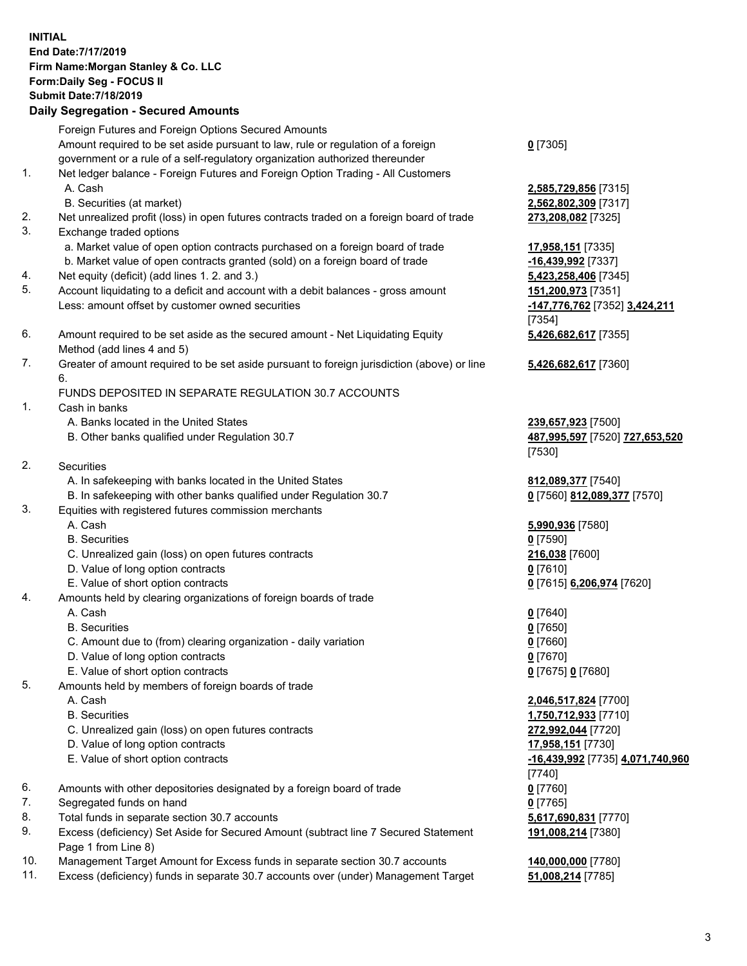## **INITIAL End Date:7/17/2019 Firm Name:Morgan Stanley & Co. LLC Form:Daily Seg - FOCUS II Submit Date:7/18/2019 Daily Segregation - Secured Amounts** Foreign Futures and Foreign Options Secured Amounts Amount required to be set aside pursuant to law, rule or regulation of a foreign government or a rule of a self-regulatory organization authorized thereunder 1. Net ledger balance - Foreign Futures and Foreign Option Trading - All Customers A. Cash **2,585,729,856** [7315] B. Securities (at market) **2,562,802,309** [7317] 2. Net unrealized profit (loss) in open futures contracts traded on a foreign board of trade **273,208,082** [7325] 3. Exchange traded options a. Market value of open option contracts purchased on a foreign board of trade **17,958,151** [7335]

- b. Market value of open contracts granted (sold) on a foreign board of trade **-16,439,992** [7337]
- 4. Net equity (deficit) (add lines 1. 2. and 3.) **5,423,258,406** [7345]
- 5. Account liquidating to a deficit and account with a debit balances gross amount **151,200,973** [7351] Less: amount offset by customer owned securities **-147,776,762** [7352] **3,424,211**
- 6. Amount required to be set aside as the secured amount Net Liquidating Equity Method (add lines 4 and 5)
- 7. Greater of amount required to be set aside pursuant to foreign jurisdiction (above) or line 6.

## FUNDS DEPOSITED IN SEPARATE REGULATION 30.7 ACCOUNTS

- 1. Cash in banks
	- A. Banks located in the United States **239,657,923** [7500]
	- B. Other banks qualified under Regulation 30.7 **487,995,597** [7520] **727,653,520**
- 2. Securities
	- A. In safekeeping with banks located in the United States **812,089,377** [7540]
	- B. In safekeeping with other banks qualified under Regulation 30.7 **0** [7560] **812,089,377** [7570]
- 3. Equities with registered futures commission merchants
	-
	- B. Securities **0** [7590]
	- C. Unrealized gain (loss) on open futures contracts **216,038** [7600]
	- D. Value of long option contracts **0** [7610]
- E. Value of short option contracts **0** [7615] **6,206,974** [7620]
- 4. Amounts held by clearing organizations of foreign boards of trade
	- A. Cash **0** [7640]
	- B. Securities **0** [7650]
	- C. Amount due to (from) clearing organization daily variation **0** [7660]
	- D. Value of long option contracts **0** [7670]
	- E. Value of short option contracts **0** [7675] **0** [7680]
- 5. Amounts held by members of foreign boards of trade
	-
	-
	- C. Unrealized gain (loss) on open futures contracts **272,992,044** [7720]
	- D. Value of long option contracts **17,958,151** [7730]
	- E. Value of short option contracts **-16,439,992** [7735] **4,071,740,960**
- 6. Amounts with other depositories designated by a foreign board of trade **0** [7760]
- 7. Segregated funds on hand **0** [7765]
- 8. Total funds in separate section 30.7 accounts **5,617,690,831** [7770]
- 9. Excess (deficiency) Set Aside for Secured Amount (subtract line 7 Secured Statement Page 1 from Line 8)
- 10. Management Target Amount for Excess funds in separate section 30.7 accounts **140,000,000** [7780]
- 11. Excess (deficiency) funds in separate 30.7 accounts over (under) Management Target **51,008,214** [7785]

**0** [7305]

[7354] **5,426,682,617** [7355]

**5,426,682,617** [7360]

[7530]

A. Cash **5,990,936** [7580]

 A. Cash **2,046,517,824** [7700] B. Securities **1,750,712,933** [7710] [7740] **191,008,214** [7380]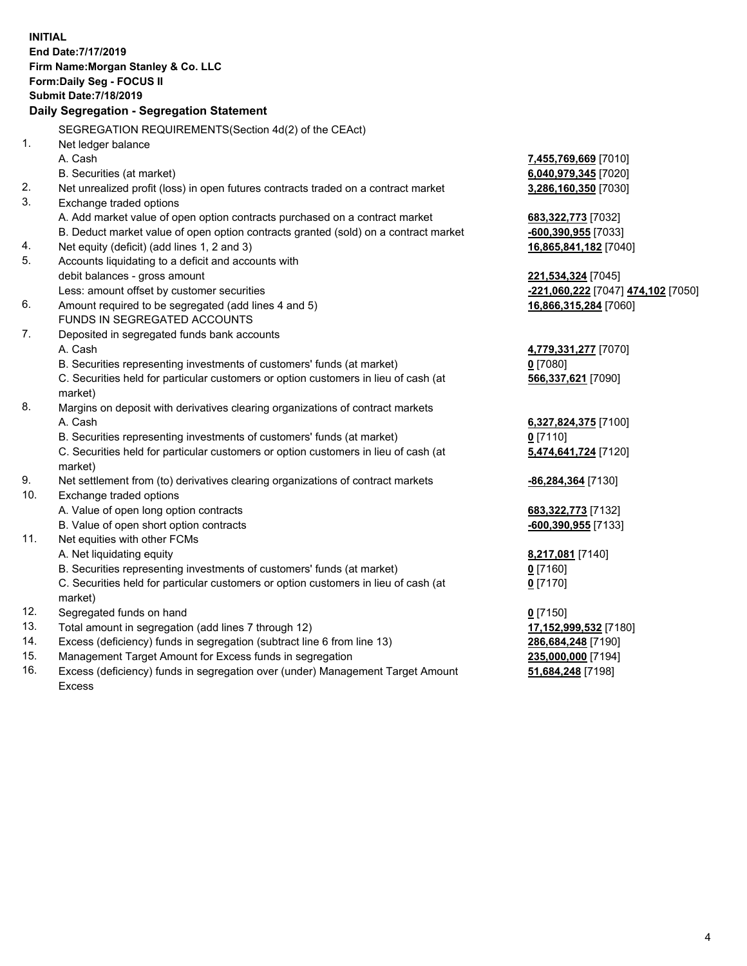**INITIAL End Date:7/17/2019 Firm Name:Morgan Stanley & Co. LLC Form:Daily Seg - FOCUS II Submit Date:7/18/2019 Daily Segregation - Segregation Statement** SEGREGATION REQUIREMENTS(Section 4d(2) of the CEAct) 1. Net ledger balance A. Cash **7,455,769,669** [7010] B. Securities (at market) **6,040,979,345** [7020] 2. Net unrealized profit (loss) in open futures contracts traded on a contract market **3,286,160,350** [7030] 3. Exchange traded options A. Add market value of open option contracts purchased on a contract market **683,322,773** [7032] B. Deduct market value of open option contracts granted (sold) on a contract market **-600,390,955** [7033] 4. Net equity (deficit) (add lines 1, 2 and 3) **16,865,841,182** [7040] 5. Accounts liquidating to a deficit and accounts with debit balances - gross amount **221,534,324** [7045] Less: amount offset by customer securities **-221,060,222** [7047] **474,102** [7050] 6. Amount required to be segregated (add lines 4 and 5) **16,866,315,284** [7060] FUNDS IN SEGREGATED ACCOUNTS 7. Deposited in segregated funds bank accounts A. Cash **4,779,331,277** [7070] B. Securities representing investments of customers' funds (at market) **0** [7080] C. Securities held for particular customers or option customers in lieu of cash (at market) **566,337,621** [7090] 8. Margins on deposit with derivatives clearing organizations of contract markets A. Cash **6,327,824,375** [7100] B. Securities representing investments of customers' funds (at market) **0** [7110] C. Securities held for particular customers or option customers in lieu of cash (at market) **5,474,641,724** [7120] 9. Net settlement from (to) derivatives clearing organizations of contract markets **-86,284,364** [7130] 10. Exchange traded options A. Value of open long option contracts **683,322,773** [7132] B. Value of open short option contracts **-600,390,955** [7133] 11. Net equities with other FCMs A. Net liquidating equity **8,217,081** [7140] B. Securities representing investments of customers' funds (at market) **0** [7160] C. Securities held for particular customers or option customers in lieu of cash (at market) **0** [7170] 12. Segregated funds on hand **0** [7150] 13. Total amount in segregation (add lines 7 through 12) **17,152,999,532** [7180] 14. Excess (deficiency) funds in segregation (subtract line 6 from line 13) **286,684,248** [7190] 15. Management Target Amount for Excess funds in segregation **235,000,000** [7194]

16. Excess (deficiency) funds in segregation over (under) Management Target Amount Excess

**51,684,248** [7198]